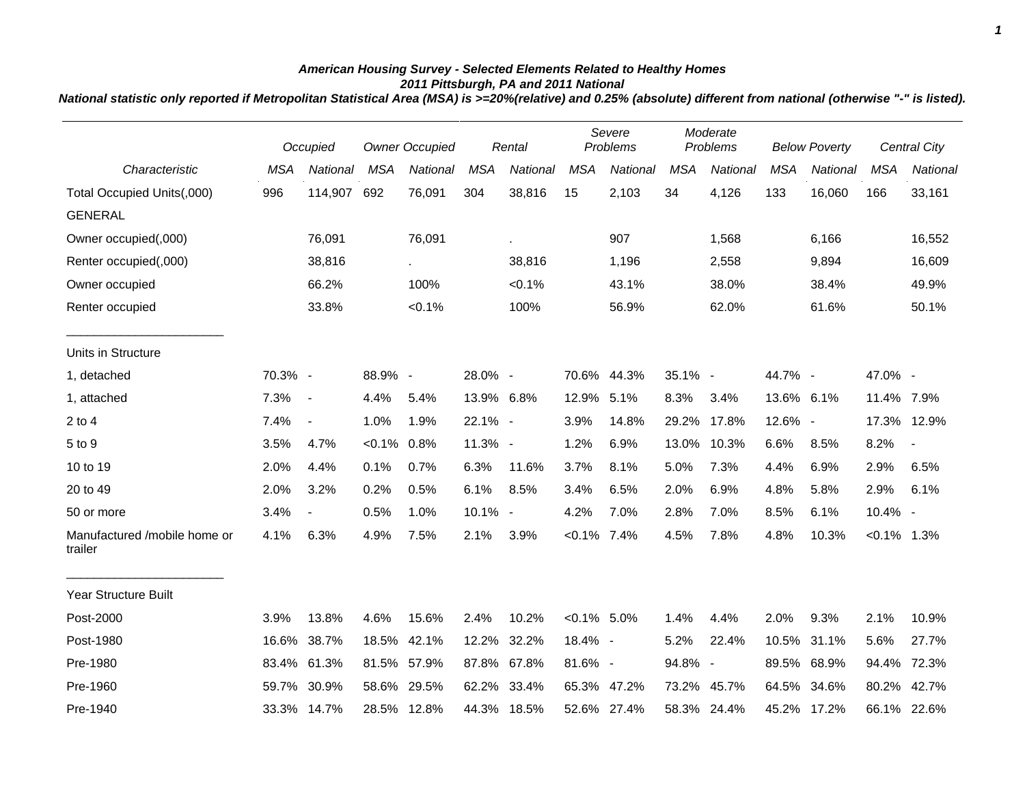## *American Housing Survey - Selected Elements Related to Healthy Homes 2011 Pittsburgh, PA and 2011 National*

*National statistic only reported if Metropolitan Statistical Area (MSA) is >=20%(relative) and 0.25% (absolute) different from national (otherwise "-" is listed).*

|                                         |            | Occupied                 | Owner Occupied |             |            | Rental      |                | Severe<br>Problems |            | Moderate<br>Problems |            | <b>Below Poverty</b> |                | <b>Central City</b> |
|-----------------------------------------|------------|--------------------------|----------------|-------------|------------|-------------|----------------|--------------------|------------|----------------------|------------|----------------------|----------------|---------------------|
| Characteristic                          | <b>MSA</b> | National                 | <b>MSA</b>     | National    | <b>MSA</b> | National    | <b>MSA</b>     | National           | <b>MSA</b> | National             | <b>MSA</b> | National             | <b>MSA</b>     | National            |
| Total Occupied Units(,000)              | 996        | 114,907                  | 692            | 76,091      | 304        | 38,816      | 15             | 2,103              | 34         | 4,126                | 133        | 16,060               | 166            | 33,161              |
| <b>GENERAL</b>                          |            |                          |                |             |            |             |                |                    |            |                      |            |                      |                |                     |
| Owner occupied(,000)                    |            | 76,091                   |                | 76,091      |            |             |                | 907                |            | 1,568                |            | 6,166                |                | 16,552              |
| Renter occupied(,000)                   |            | 38,816                   |                | $\sim$      |            | 38,816      |                | 1,196              |            | 2,558                |            | 9,894                |                | 16,609              |
| Owner occupied                          |            | 66.2%                    |                | 100%        |            | $< 0.1\%$   |                | 43.1%              |            | 38.0%                |            | 38.4%                |                | 49.9%               |
| Renter occupied                         |            | 33.8%                    |                | $< 0.1\%$   |            | 100%        |                | 56.9%              |            | 62.0%                |            | 61.6%                |                | 50.1%               |
| Units in Structure                      |            |                          |                |             |            |             |                |                    |            |                      |            |                      |                |                     |
| 1, detached                             | 70.3% -    |                          | 88.9% -        |             | 28.0% -    |             | 70.6%          | 44.3%              | 35.1% -    |                      | 44.7% -    |                      | 47.0% -        |                     |
| 1, attached                             | 7.3%       | $\sim$                   | 4.4%           | 5.4%        | 13.9% 6.8% |             | 12.9% 5.1%     |                    | 8.3%       | 3.4%                 | 13.6% 6.1% |                      | 11.4% 7.9%     |                     |
| $2$ to $4$                              | 7.4%       | $\blacksquare$           | 1.0%           | 1.9%        | 22.1% -    |             | 3.9%           | 14.8%              | 29.2%      | 17.8%                | 12.6% -    |                      |                | 17.3% 12.9%         |
| 5 to 9                                  | 3.5%       | 4.7%                     | $< 0.1\%$      | 0.8%        | 11.3% -    |             | 1.2%           | 6.9%               | 13.0%      | 10.3%                | 6.6%       | 8.5%                 | 8.2%           | $\blacksquare$      |
| 10 to 19                                | 2.0%       | 4.4%                     | 0.1%           | 0.7%        | 6.3%       | 11.6%       | 3.7%           | 8.1%               | 5.0%       | 7.3%                 | 4.4%       | 6.9%                 | 2.9%           | 6.5%                |
| 20 to 49                                | 2.0%       | 3.2%                     | 0.2%           | 0.5%        | 6.1%       | 8.5%        | 3.4%           | 6.5%               | 2.0%       | 6.9%                 | 4.8%       | 5.8%                 | 2.9%           | 6.1%                |
| 50 or more                              | 3.4%       | $\overline{\phantom{a}}$ | 0.5%           | 1.0%        | 10.1% -    |             | 4.2%           | 7.0%               | 2.8%       | 7.0%                 | 8.5%       | 6.1%                 | 10.4% -        |                     |
| Manufactured /mobile home or<br>trailer | 4.1%       | 6.3%                     | 4.9%           | 7.5%        | 2.1%       | 3.9%        | $< 0.1\%$      | 7.4%               | 4.5%       | 7.8%                 | 4.8%       | 10.3%                | $< 0.1\%$ 1.3% |                     |
| <b>Year Structure Built</b>             |            |                          |                |             |            |             |                |                    |            |                      |            |                      |                |                     |
| Post-2000                               | 3.9%       | 13.8%                    | 4.6%           | 15.6%       | 2.4%       | 10.2%       | $< 0.1\%$ 5.0% |                    | 1.4%       | 4.4%                 | 2.0%       | 9.3%                 | 2.1%           | 10.9%               |
| Post-1980                               | 16.6%      | 38.7%                    | 18.5%          | 42.1%       | 12.2%      | 32.2%       | 18.4% -        |                    | 5.2%       | 22.4%                | 10.5%      | 31.1%                | 5.6%           | 27.7%               |
| Pre-1980                                | 83.4%      | 61.3%                    | 81.5%          | 57.9%       |            | 87.8% 67.8% | 81.6% -        |                    | 94.8% -    |                      | 89.5%      | 68.9%                | 94.4%          | 72.3%               |
| Pre-1960                                | 59.7%      | 30.9%                    | 58.6%          | 29.5%       |            | 62.2% 33.4% |                | 65.3% 47.2%        | 73.2%      | 45.7%                | 64.5%      | 34.6%                | 80.2%          | 42.7%               |
| Pre-1940                                |            | 33.3% 14.7%              |                | 28.5% 12.8% |            | 44.3% 18.5% |                | 52.6% 27.4%        |            | 58.3% 24.4%          |            | 45.2% 17.2%          |                | 66.1% 22.6%         |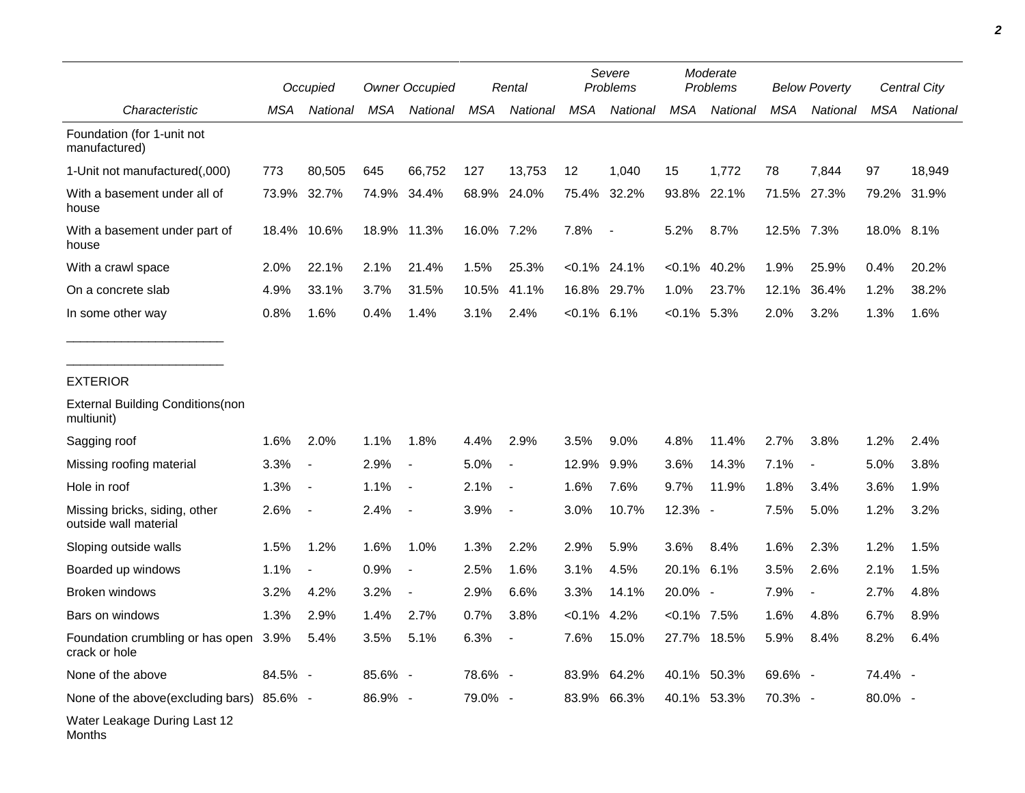|                                                        |         | Occupied                 |            | <b>Owner Occupied</b>    |            | Rental                   |                | Severe<br>Problems |                | Moderate<br>Problems |            | <b>Below Poverty</b>     |            | Central City |  |
|--------------------------------------------------------|---------|--------------------------|------------|--------------------------|------------|--------------------------|----------------|--------------------|----------------|----------------------|------------|--------------------------|------------|--------------|--|
| Characteristic                                         | MSA     | National                 | <b>MSA</b> | National                 | <b>MSA</b> | National                 | <b>MSA</b>     | National           | <b>MSA</b>     | National             | <b>MSA</b> | National                 | <b>MSA</b> | National     |  |
| Foundation (for 1-unit not<br>manufactured)            |         |                          |            |                          |            |                          |                |                    |                |                      |            |                          |            |              |  |
| 1-Unit not manufactured(,000)                          | 773     | 80,505                   | 645        | 66,752                   | 127        | 13,753                   | 12             | 1,040              | 15             | 1,772                | 78         | 7,844                    | 97         | 18,949       |  |
| With a basement under all of<br>house                  | 73.9%   | 32.7%                    | 74.9%      | 34.4%                    |            | 68.9% 24.0%              | 75.4%          | 32.2%              | 93.8%          | 22.1%                | 71.5%      | 27.3%                    | 79.2%      | 31.9%        |  |
| With a basement under part of<br>house                 | 18.4%   | 10.6%                    |            | 18.9% 11.3%              | 16.0% 7.2% |                          | 7.8%           | $\sim$             | 5.2%           | 8.7%                 | 12.5% 7.3% |                          | 18.0% 8.1% |              |  |
| With a crawl space                                     | 2.0%    | 22.1%                    | 2.1%       | 21.4%                    | 1.5%       | 25.3%                    |                | $< 0.1\%$ 24.1%    | $< 0.1\%$      | 40.2%                | 1.9%       | 25.9%                    | 0.4%       | 20.2%        |  |
| On a concrete slab                                     | 4.9%    | 33.1%                    | 3.7%       | 31.5%                    | 10.5%      | 41.1%                    | 16.8%          | 29.7%              | 1.0%           | 23.7%                | 12.1%      | 36.4%                    | 1.2%       | 38.2%        |  |
| In some other way                                      | 0.8%    | 1.6%                     | 0.4%       | 1.4%                     | 3.1%       | 2.4%                     | $< 0.1\%$ 6.1% |                    | $< 0.1\%$ 5.3% |                      | 2.0%       | 3.2%                     | 1.3%       | 1.6%         |  |
| <b>EXTERIOR</b>                                        |         |                          |            |                          |            |                          |                |                    |                |                      |            |                          |            |              |  |
| <b>External Building Conditions (non</b><br>multiunit) |         |                          |            |                          |            |                          |                |                    |                |                      |            |                          |            |              |  |
| Sagging roof                                           | 1.6%    | 2.0%                     | 1.1%       | 1.8%                     | 4.4%       | 2.9%                     | 3.5%           | 9.0%               | 4.8%           | 11.4%                | 2.7%       | 3.8%                     | 1.2%       | 2.4%         |  |
| Missing roofing material                               | 3.3%    | $\blacksquare$           | 2.9%       | $\overline{\phantom{a}}$ | 5.0%       | $\blacksquare$           | 12.9%          | 9.9%               | 3.6%           | 14.3%                | 7.1%       | $\overline{\phantom{a}}$ | 5.0%       | 3.8%         |  |
| Hole in roof                                           | 1.3%    | $\overline{\phantom{a}}$ | 1.1%       | $\overline{\phantom{a}}$ | 2.1%       | $\overline{\phantom{a}}$ | 1.6%           | 7.6%               | 9.7%           | 11.9%                | 1.8%       | 3.4%                     | 3.6%       | 1.9%         |  |
| Missing bricks, siding, other<br>outside wall material | 2.6%    | $\blacksquare$           | 2.4%       |                          | 3.9%       | $\overline{\phantom{a}}$ | 3.0%           | 10.7%              | 12.3% -        |                      | 7.5%       | 5.0%                     | 1.2%       | 3.2%         |  |
| Sloping outside walls                                  | 1.5%    | 1.2%                     | 1.6%       | 1.0%                     | 1.3%       | 2.2%                     | 2.9%           | 5.9%               | 3.6%           | 8.4%                 | 1.6%       | 2.3%                     | 1.2%       | 1.5%         |  |
| Boarded up windows                                     | 1.1%    |                          | 0.9%       |                          | 2.5%       | 1.6%                     | 3.1%           | 4.5%               | 20.1%          | 6.1%                 | 3.5%       | 2.6%                     | 2.1%       | 1.5%         |  |
| Broken windows                                         | 3.2%    | 4.2%                     | 3.2%       |                          | 2.9%       | 6.6%                     | 3.3%           | 14.1%              | 20.0% -        |                      | 7.9%       | $\overline{\phantom{a}}$ | 2.7%       | 4.8%         |  |
| Bars on windows                                        | 1.3%    | 2.9%                     | 1.4%       | 2.7%                     | 0.7%       | 3.8%                     | $< 0.1\%$      | 4.2%               | $< 0.1\%$      | 7.5%                 | 1.6%       | 4.8%                     | 6.7%       | 8.9%         |  |
| Foundation crumbling or has open 3.9%<br>crack or hole |         | 5.4%                     | 3.5%       | 5.1%                     | 6.3%       |                          | 7.6%           | 15.0%              | 27.7%          | 18.5%                | 5.9%       | 8.4%                     | 8.2%       | 6.4%         |  |
| None of the above                                      | 84.5% - |                          | 85.6% -    |                          | 78.6% -    |                          |                | 83.9% 64.2%        |                | 40.1% 50.3%          | 69.6% -    |                          | 74.4% -    |              |  |
| None of the above(excluding bars) 85.6% -              |         |                          | 86.9% -    |                          | 79.0% -    |                          |                | 83.9% 66.3%        |                | 40.1% 53.3%          | 70.3% -    |                          | 80.0% -    |              |  |
| Water Leakage During Last 12<br>Months                 |         |                          |            |                          |            |                          |                |                    |                |                      |            |                          |            |              |  |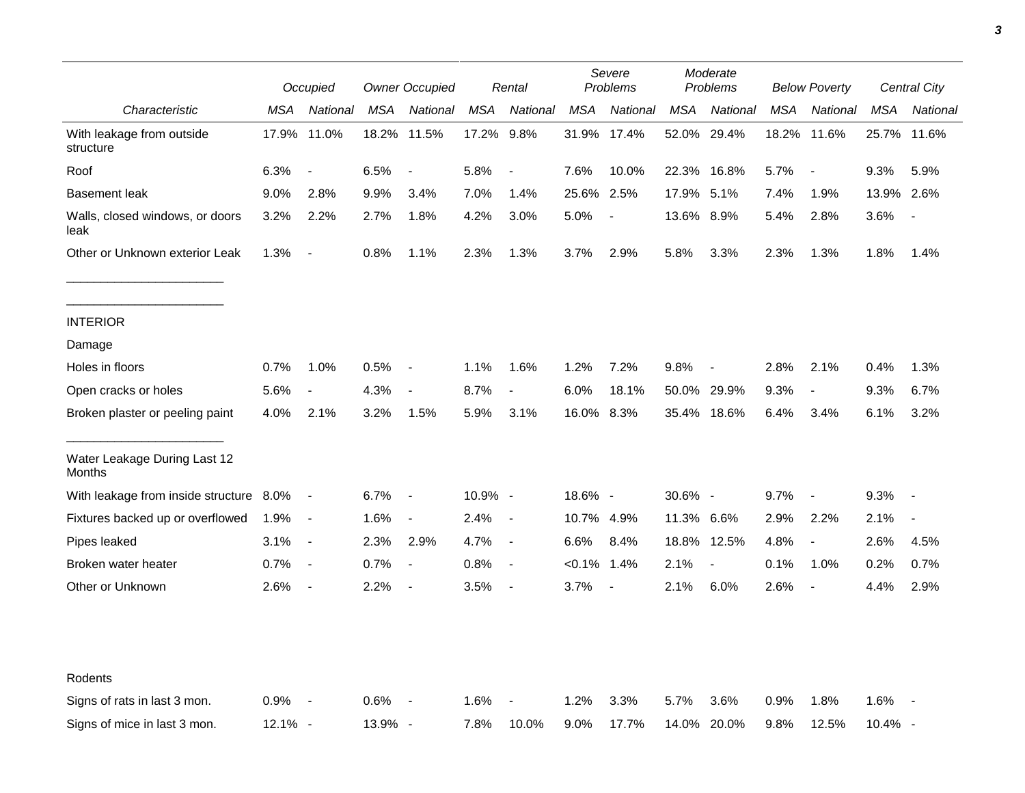|                                         |         | Occupied                 |            | <b>Owner Occupied</b>    |         | Rental                   |                | Severe<br>Problems |             | Moderate<br>Problems     |            | <b>Below Poverty</b>     |            | Central City   |  |
|-----------------------------------------|---------|--------------------------|------------|--------------------------|---------|--------------------------|----------------|--------------------|-------------|--------------------------|------------|--------------------------|------------|----------------|--|
| Characteristic                          | MSA     | National                 | <b>MSA</b> | National                 | MSA     | National                 | <b>MSA</b>     | National           | MSA         | National                 | <b>MSA</b> | National                 | <b>MSA</b> | National       |  |
| With leakage from outside<br>structure  | 17.9%   | 11.0%                    |            | 18.2% 11.5%              | 17.2%   | 9.8%                     |                | 31.9% 17.4%        |             | 52.0% 29.4%              | 18.2%      | 11.6%                    | 25.7%      | 11.6%          |  |
| Roof                                    | 6.3%    | $\overline{\phantom{a}}$ | 6.5%       | $\blacksquare$           | 5.8%    | $\overline{\phantom{a}}$ | 7.6%           | 10.0%              | 22.3% 16.8% |                          | 5.7%       | $\overline{\phantom{a}}$ | 9.3%       | 5.9%           |  |
| <b>Basement leak</b>                    | 9.0%    | 2.8%                     | 9.9%       | 3.4%                     | 7.0%    | 1.4%                     | 25.6%          | 2.5%               | 17.9%       | 5.1%                     | 7.4%       | 1.9%                     | 13.9%      | 2.6%           |  |
| Walls, closed windows, or doors<br>leak | 3.2%    | 2.2%                     | 2.7%       | 1.8%                     | 4.2%    | 3.0%                     | 5.0%           | $\blacksquare$     | 13.6% 8.9%  |                          | 5.4%       | 2.8%                     | 3.6%       | $\blacksquare$ |  |
| Other or Unknown exterior Leak          | 1.3%    | $\overline{\phantom{a}}$ | 0.8%       | 1.1%                     | 2.3%    | 1.3%                     | 3.7%           | 2.9%               | 5.8%        | 3.3%                     | 2.3%       | 1.3%                     | 1.8%       | 1.4%           |  |
| <b>INTERIOR</b>                         |         |                          |            |                          |         |                          |                |                    |             |                          |            |                          |            |                |  |
| Damage                                  |         |                          |            |                          |         |                          |                |                    |             |                          |            |                          |            |                |  |
| Holes in floors                         | 0.7%    | 1.0%                     | 0.5%       | $\overline{\phantom{a}}$ | 1.1%    | 1.6%                     | 1.2%           | 7.2%               | 9.8%        |                          | 2.8%       | 2.1%                     | 0.4%       | 1.3%           |  |
| Open cracks or holes                    | 5.6%    | $\overline{\phantom{a}}$ | 4.3%       | $\overline{\phantom{a}}$ | 8.7%    | $\overline{\phantom{a}}$ | 6.0%           | 18.1%              |             | 50.0% 29.9%              | 9.3%       | $\blacksquare$           | 9.3%       | 6.7%           |  |
| Broken plaster or peeling paint         | 4.0%    | 2.1%                     | 3.2%       | 1.5%                     | 5.9%    | 3.1%                     | 16.0% 8.3%     |                    |             | 35.4% 18.6%              | 6.4%       | 3.4%                     | 6.1%       | 3.2%           |  |
| Water Leakage During Last 12<br>Months  |         |                          |            |                          |         |                          |                |                    |             |                          |            |                          |            |                |  |
| With leakage from inside structure 8.0% |         | $\blacksquare$           | 6.7%       | $\overline{\phantom{a}}$ | 10.9% - |                          | 18.6% -        |                    | 30.6% -     |                          | 9.7%       | $\overline{\phantom{a}}$ | 9.3%       | $\blacksquare$ |  |
| Fixtures backed up or overflowed        | 1.9%    | $\overline{\phantom{a}}$ | 1.6%       | $\blacksquare$           | 2.4%    | $\overline{\phantom{a}}$ | 10.7% 4.9%     |                    | 11.3% 6.6%  |                          | 2.9%       | 2.2%                     | 2.1%       | $\blacksquare$ |  |
| Pipes leaked                            | 3.1%    | $\overline{\phantom{a}}$ | 2.3%       | 2.9%                     | 4.7%    | $\blacksquare$           | 6.6%           | 8.4%               |             | 18.8% 12.5%              | 4.8%       | $\overline{\phantom{a}}$ | 2.6%       | 4.5%           |  |
| Broken water heater                     | 0.7%    | $\blacksquare$           | 0.7%       | $\overline{\phantom{a}}$ | 0.8%    | $\overline{\phantom{a}}$ | $< 0.1\%$ 1.4% |                    | 2.1%        | $\overline{\phantom{a}}$ | 0.1%       | 1.0%                     | 0.2%       | 0.7%           |  |
| Other or Unknown                        | 2.6%    | $\blacksquare$           | 2.2%       | $\overline{\phantom{a}}$ | 3.5%    | $\blacksquare$           | 3.7%           | $\sim$             | 2.1%        | 6.0%                     | 2.6%       | $\blacksquare$           | 4.4%       | 2.9%           |  |
| Rodents                                 |         |                          |            |                          |         |                          |                |                    |             |                          |            |                          |            |                |  |
| Signs of rats in last 3 mon.            | 0.9%    | $\overline{\phantom{a}}$ | 0.6%       |                          | 1.6%    |                          | 1.2%           | 3.3%               | 5.7%        | 3.6%                     | 0.9%       | 1.8%                     | 1.6%       |                |  |
| Signs of mice in last 3 mon.            | 12.1% - |                          | 13.9% -    |                          | 7.8%    | 10.0%                    | 9.0%           | 17.7%              |             | 14.0% 20.0%              | 9.8%       | 12.5%                    | 10.4% -    |                |  |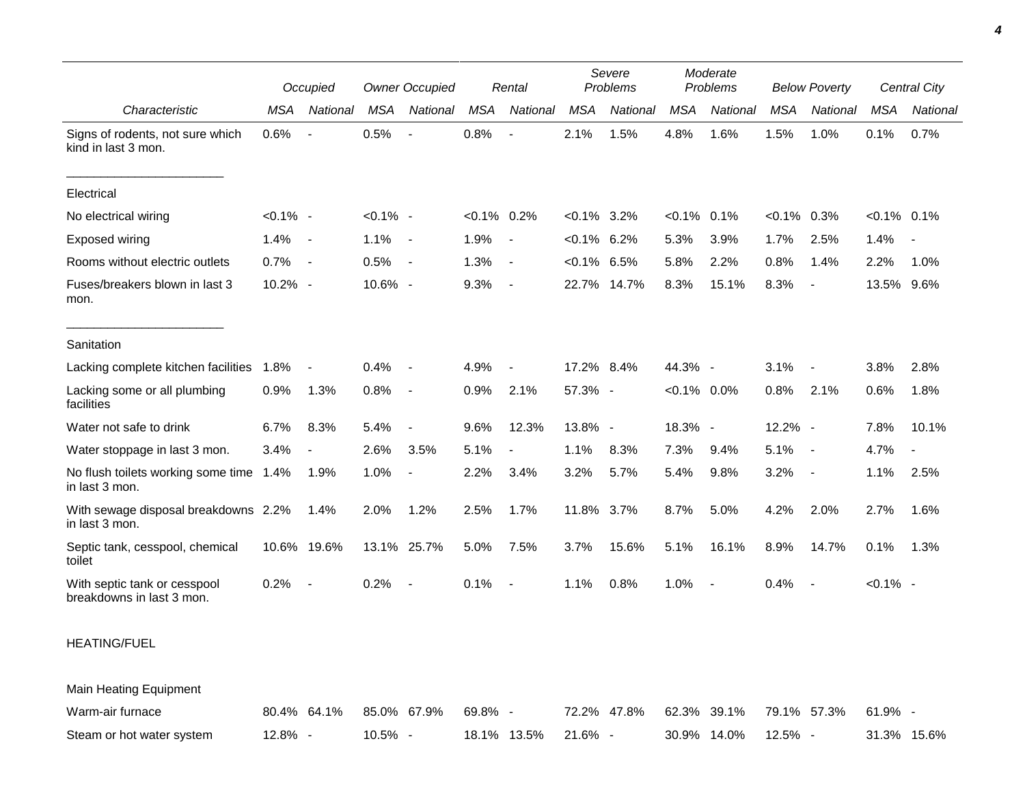|                                                           | Occupied    |                          | <b>Owner Occupied</b> |                          | Rental         |                          | Severe<br>Problems |             | Moderate<br>Problems |             | <b>Below Poverty</b> |                          | Central City   |                          |
|-----------------------------------------------------------|-------------|--------------------------|-----------------------|--------------------------|----------------|--------------------------|--------------------|-------------|----------------------|-------------|----------------------|--------------------------|----------------|--------------------------|
| Characteristic                                            | <b>MSA</b>  | National                 | <b>MSA</b>            | National                 | MSA            | National                 | <b>MSA</b>         | National    | <b>MSA</b>           | National    | <b>MSA</b>           | National                 | <b>MSA</b>     | National                 |
| Signs of rodents, not sure which<br>kind in last 3 mon.   | 0.6%        |                          | 0.5%                  | $\overline{\phantom{a}}$ | 0.8%           | $\overline{\phantom{a}}$ | 2.1%               | 1.5%        | 4.8%                 | 1.6%        | 1.5%                 | 1.0%                     | 0.1%           | 0.7%                     |
| Electrical                                                |             |                          |                       |                          |                |                          |                    |             |                      |             |                      |                          |                |                          |
| No electrical wiring                                      | $< 0.1\%$ - |                          | $< 0.1\%$ -           |                          | $< 0.1\%$ 0.2% |                          | $<0.1\%$ 3.2%      |             | $< 0.1\%$            | 0.1%        | $<0.1\%$ 0.3%        |                          | $< 0.1\%$ 0.1% |                          |
| Exposed wiring                                            | 1.4%        | $\overline{\phantom{a}}$ | 1.1%                  | $\blacksquare$           | 1.9%           | $\overline{\phantom{a}}$ | $< 0.1\%$ 6.2%     |             | 5.3%                 | 3.9%        | 1.7%                 | 2.5%                     | 1.4%           | $\overline{\phantom{a}}$ |
| Rooms without electric outlets                            | 0.7%        | $\sim$                   | 0.5%                  | $\overline{\phantom{a}}$ | 1.3%           | $\overline{\phantom{a}}$ | $< 0.1\%$ 6.5%     |             | 5.8%                 | 2.2%        | 0.8%                 | 1.4%                     | 2.2%           | 1.0%                     |
| Fuses/breakers blown in last 3<br>mon.                    | 10.2% -     |                          | 10.6% -               |                          | 9.3%           | $\blacksquare$           |                    | 22.7% 14.7% | 8.3%                 | 15.1%       | 8.3%                 | $\overline{\phantom{a}}$ | 13.5%          | 9.6%                     |
| Sanitation                                                |             |                          |                       |                          |                |                          |                    |             |                      |             |                      |                          |                |                          |
| Lacking complete kitchen facilities                       | 1.8%        |                          | 0.4%                  | $\overline{\phantom{a}}$ | 4.9%           | $\overline{a}$           | 17.2% 8.4%         |             | 44.3% -              |             | 3.1%                 |                          | 3.8%           | 2.8%                     |
| Lacking some or all plumbing<br>facilities                | 0.9%        | 1.3%                     | $0.8\%$               | $\blacksquare$           | 0.9%           | 2.1%                     | 57.3% -            |             | $< 0.1\%$ 0.0%       |             | 0.8%                 | 2.1%                     | 0.6%           | 1.8%                     |
| Water not safe to drink                                   | 6.7%        | 8.3%                     | 5.4%                  | $\overline{\phantom{a}}$ | 9.6%           | 12.3%                    | 13.8% -            |             | 18.3% -              |             | 12.2% -              |                          | 7.8%           | 10.1%                    |
| Water stoppage in last 3 mon.                             | 3.4%        |                          | 2.6%                  | 3.5%                     | 5.1%           | $\blacksquare$           | 1.1%               | 8.3%        | 7.3%                 | 9.4%        | 5.1%                 | $\blacksquare$           | 4.7%           |                          |
| No flush toilets working some time 1.4%<br>in last 3 mon. |             | 1.9%                     | 1.0%                  | $\overline{a}$           | 2.2%           | 3.4%                     | 3.2%               | 5.7%        | 5.4%                 | 9.8%        | 3.2%                 | $\blacksquare$           | 1.1%           | 2.5%                     |
| With sewage disposal breakdowns 2.2%<br>in last 3 mon.    |             | 1.4%                     | 2.0%                  | 1.2%                     | 2.5%           | 1.7%                     | 11.8% 3.7%         |             | 8.7%                 | 5.0%        | 4.2%                 | 2.0%                     | 2.7%           | 1.6%                     |
| Septic tank, cesspool, chemical<br>toilet                 |             | 10.6% 19.6%              |                       | 13.1% 25.7%              | 5.0%           | 7.5%                     | 3.7%               | 15.6%       | 5.1%                 | 16.1%       | 8.9%                 | 14.7%                    | 0.1%           | 1.3%                     |
| With septic tank or cesspool<br>breakdowns in last 3 mon. | 0.2%        |                          | 0.2%                  |                          | 0.1%           | $\overline{\phantom{a}}$ | 1.1%               | 0.8%        | 1.0%                 |             | 0.4%                 |                          | $< 0.1\%$ -    |                          |
| <b>HEATING/FUEL</b>                                       |             |                          |                       |                          |                |                          |                    |             |                      |             |                      |                          |                |                          |
| <b>Main Heating Equipment</b>                             |             |                          |                       |                          |                |                          |                    |             |                      |             |                      |                          |                |                          |
| Warm-air furnace                                          |             | 80.4% 64.1%              |                       | 85.0% 67.9%              | 69.8% -        |                          |                    | 72.2% 47.8% |                      | 62.3% 39.1% |                      | 79.1% 57.3%              | $61.9\%$ -     |                          |

Steam or hot water system  $12.8\%$  - 10.5% - 18.1% 13.5% 21.6% - 30.9% 14.0% 12.5% - 31.3% 15.6%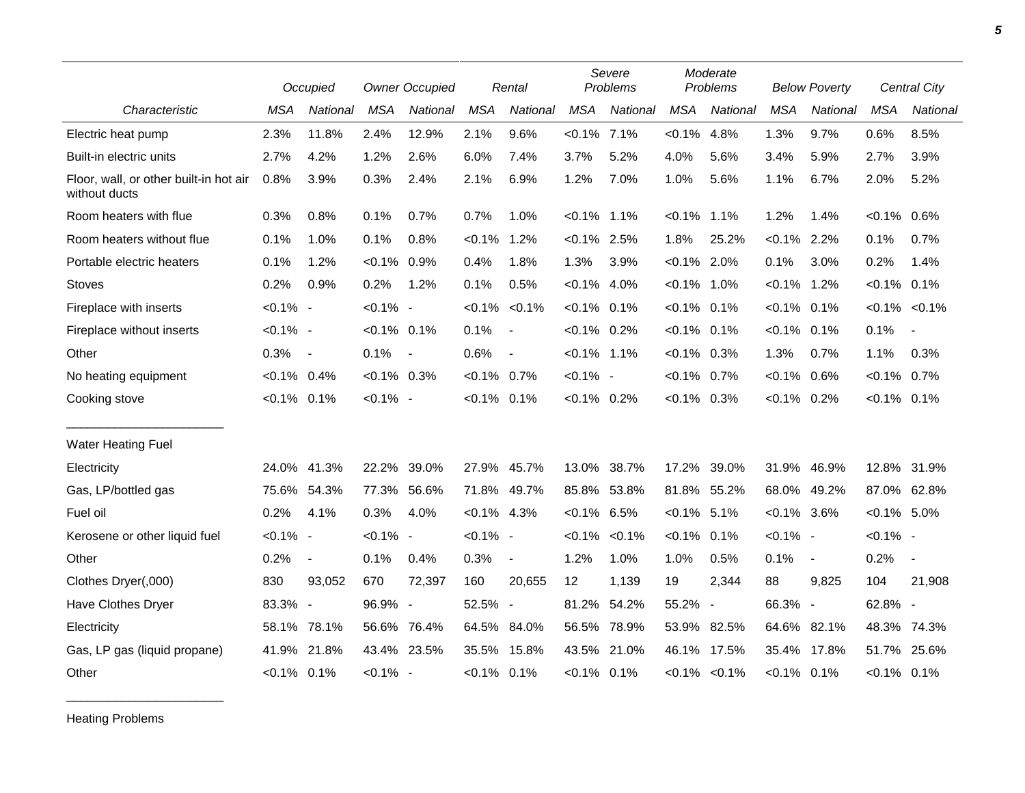|                                                         |                | Occupied                    |                | <b>Owner Occupied</b> |                | Rental                   |                | Severe<br>Problems  |                | Moderate<br>Problems |                | <b>Below Poverty</b> |                     | Central City             |
|---------------------------------------------------------|----------------|-----------------------------|----------------|-----------------------|----------------|--------------------------|----------------|---------------------|----------------|----------------------|----------------|----------------------|---------------------|--------------------------|
| Characteristic                                          | <b>MSA</b>     | National                    | <b>MSA</b>     | National              | <b>MSA</b>     | National                 | <b>MSA</b>     | National            | <b>MSA</b>     | National             | <b>MSA</b>     | National             | <b>MSA</b>          | <b>National</b>          |
| Electric heat pump                                      | 2.3%           | 11.8%                       | 2.4%           | 12.9%                 | 2.1%           | 9.6%                     | $< 0.1\%$ 7.1% |                     | $< 0.1\%$      | 4.8%                 | 1.3%           | 9.7%                 | 0.6%                | 8.5%                     |
| Built-in electric units                                 | 2.7%           | 4.2%                        | 1.2%           | 2.6%                  | 6.0%           | 7.4%                     | 3.7%           | 5.2%                | 4.0%           | 5.6%                 | 3.4%           | 5.9%                 | 2.7%                | 3.9%                     |
| Floor, wall, or other built-in hot air<br>without ducts | 0.8%           | 3.9%                        | 0.3%           | 2.4%                  | 2.1%           | 6.9%                     | 1.2%           | 7.0%                | 1.0%           | 5.6%                 | 1.1%           | 6.7%                 | 2.0%                | 5.2%                     |
| Room heaters with flue                                  | 0.3%           | 0.8%                        | 0.1%           | 0.7%                  | 0.7%           | 1.0%                     | $< 0.1\%$ 1.1% |                     | $< 0.1\%$      | $1.1\%$              | 1.2%           | 1.4%                 | $< 0.1\%$           | $0.6\%$                  |
| Room heaters without flue                               | 0.1%           | 1.0%                        | 0.1%           | 0.8%                  | $< 0.1\%$      | 1.2%                     | $< 0.1\%$ 2.5% |                     | 1.8%           | 25.2%                | $< 0.1\%$ 2.2% |                      | 0.1%                | 0.7%                     |
| Portable electric heaters                               | 0.1%           | 1.2%                        | $< 0.1\%$      | 0.9%                  | 0.4%           | 1.8%                     | 1.3%           | 3.9%                | $< 0.1\%$ 2.0% |                      | 0.1%           | 3.0%                 | 0.2%                | 1.4%                     |
| <b>Stoves</b>                                           | 0.2%           | 0.9%                        | 0.2%           | 1.2%                  | 0.1%           | 0.5%                     | $< 0.1\%$ 4.0% |                     | $< 0.1\%$ 1.0% |                      | $< 0.1\%$      | 1.2%                 | $< 0.1\%$ 0.1%      |                          |
| Fireplace with inserts                                  | $< 0.1\%$ -    |                             | $< 0.1\%$ -    |                       | $< 0.1\%$      | $< 0.1\%$                | $< 0.1\%$ 0.1% |                     | $< 0.1\%$ 0.1% |                      | $< 0.1\%$ 0.1% |                      | $< 0.1\%$ $< 0.1\%$ |                          |
| Fireplace without inserts                               | $< 0.1\%$ -    |                             | $< 0.1\%$ 0.1% |                       | 0.1%           | $\blacksquare$           | $< 0.1\%$ 0.2% |                     | $< 0.1\%$ 0.1% |                      | $< 0.1\%$      | 0.1%                 | 0.1%                | $\sim$                   |
| Other                                                   | 0.3%           | $\overline{\phantom{a}}$    | 0.1%           | $\sim$                | 0.6%           | $\overline{\phantom{a}}$ | $< 0.1\%$ 1.1% |                     | $< 0.1\%$ 0.3% |                      | 1.3%           | 0.7%                 | 1.1%                | 0.3%                     |
| No heating equipment                                    | $< 0.1\%$      | 0.4%                        | $< 0.1\%$ 0.3% |                       | $< 0.1\%$ 0.7% |                          | $< 0.1\%$ -    |                     | $< 0.1\%$      | $0.7\%$              | $< 0.1\%$ 0.6% |                      | $< 0.1\%$ 0.7%      |                          |
| Cooking stove                                           | $< 0.1\%$ 0.1% |                             | $< 0.1\%$ -    |                       | $< 0.1\%$ 0.1% |                          | $< 0.1\%$ 0.2% |                     | $<0.1\%$ 0.3%  |                      | $< 0.1\%$ 0.2% |                      | $< 0.1\%$ 0.1%      |                          |
| <b>Water Heating Fuel</b>                               |                |                             |                |                       |                |                          |                |                     |                |                      |                |                      |                     |                          |
| Electricity                                             | 24.0%          | 41.3%                       | 22.2%          | 39.0%                 |                | 27.9% 45.7%              | 13.0%          | 38.7%               | 17.2%          | 39.0%                | 31.9%          | 46.9%                | 12.8% 31.9%         |                          |
| Gas, LP/bottled gas                                     | 75.6%          | 54.3%                       | 77.3%          | 56.6%                 |                | 71.8% 49.7%              | 85.8% 53.8%    |                     |                | 81.8% 55.2%          | 68.0%          | 49.2%                | 87.0% 62.8%         |                          |
| Fuel oil                                                | 0.2%           | 4.1%                        | 0.3%           | 4.0%                  | $< 0.1\%$ 4.3% |                          | $< 0.1\%$ 6.5% |                     | $< 0.1\%$ 5.1% |                      | $< 0.1\%$ 3.6% |                      | $< 0.1\%$ 5.0%      |                          |
| Kerosene or other liquid fuel                           | $< 0.1\%$ -    |                             | $< 0.1\%$ -    |                       | $< 0.1\%$ -    |                          |                | $< 0.1\%$ $< 0.1\%$ | $< 0.1\%$      | 0.1%                 | $< 0.1\%$ -    |                      | $< 0.1\%$ -         |                          |
| Other                                                   | 0.2%           | $\blacksquare$              | 0.1%           | 0.4%                  | 0.3%           | $\blacksquare$           | 1.2%           | 1.0%                | 1.0%           | 0.5%                 | 0.1%           | $\blacksquare$       | 0.2%                | $\overline{\phantom{a}}$ |
| Clothes Dryer(,000)                                     | 830            | 93,052                      | 670            | 72,397                | 160            | 20,655                   | 12             | 1,139               | 19             | 2,344                | 88             | 9,825                | 104                 | 21,908                   |
| Have Clothes Dryer                                      | 83.3%          | $\mathcal{L}_{\mathcal{C}}$ | 96.9% -        |                       | 52.5% -        |                          | 81.2%          | 54.2%               | 55.2%          | $\overline{a}$       | 66.3% -        |                      | 62.8% -             |                          |
| Electricity                                             | 58.1%          | 78.1%                       | 56.6%          | 76.4%                 | 64.5% 84.0%    |                          | 56.5%          | 78.9%               | 53.9%          | 82.5%                |                | 64.6% 82.1%          | 48.3% 74.3%         |                          |
| Gas, LP gas (liquid propane)                            | 41.9%          | 21.8%                       | 43.4% 23.5%    |                       |                | 35.5% 15.8%              | 43.5%          | 21.0%               |                | 46.1% 17.5%          | 35.4%          | 17.8%                | 51.7%               | 25.6%                    |
| Other                                                   | $< 0.1\%$ 0.1% |                             | $< 0.1\%$ -    |                       | $< 0.1\%$ 0.1% |                          | $< 0.1\%$ 0.1% |                     |                | $< 0.1\%$ $< 0.1\%$  | $< 0.1\%$ 0.1% |                      | $< 0.1\%$ 0.1%      |                          |

Heating Problems

\_\_\_\_\_\_\_\_\_\_\_\_\_\_\_\_\_\_\_\_\_\_\_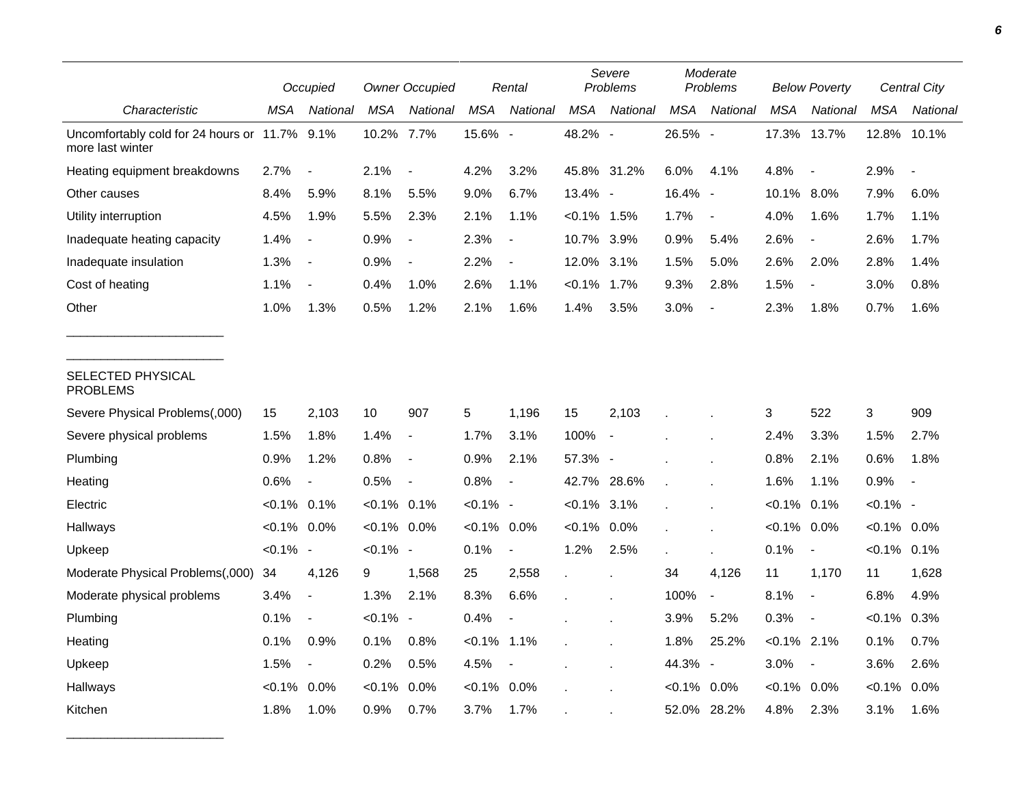|                                                                   |                | Occupied                 |                | <b>Owner Occupied</b>    |                | Rental                   |                | Severe<br>Problems       |            | Moderate<br>Problems     |                | <b>Below Poverty</b>     |                | <b>Central City</b> |
|-------------------------------------------------------------------|----------------|--------------------------|----------------|--------------------------|----------------|--------------------------|----------------|--------------------------|------------|--------------------------|----------------|--------------------------|----------------|---------------------|
| Characteristic                                                    | MSA            | National                 | <b>MSA</b>     | National                 | <b>MSA</b>     | National                 | <b>MSA</b>     | National                 | <b>MSA</b> | National                 | <b>MSA</b>     | National                 | <b>MSA</b>     | National            |
| Uncomfortably cold for 24 hours or 11.7% 9.1%<br>more last winter |                |                          | 10.2%          | 7.7%                     | 15.6% -        |                          | 48.2% -        |                          | 26.5% -    |                          | 17.3%          | 13.7%                    | 12.8%          | 10.1%               |
| Heating equipment breakdowns                                      | 2.7%           |                          | 2.1%           | $\blacksquare$           | 4.2%           | 3.2%                     | 45.8% 31.2%    |                          | 6.0%       | 4.1%                     | 4.8%           | $\overline{\phantom{a}}$ | 2.9%           | $\overline{a}$      |
| Other causes                                                      | 8.4%           | 5.9%                     | 8.1%           | 5.5%                     | 9.0%           | 6.7%                     | 13.4% -        |                          | 16.4% -    |                          | 10.1%          | $8.0\%$                  | 7.9%           | 6.0%                |
| Utility interruption                                              | 4.5%           | 1.9%                     | 5.5%           | 2.3%                     | 2.1%           | 1.1%                     | $< 0.1\%$ 1.5% |                          | 1.7%       | $\overline{\phantom{a}}$ | 4.0%           | 1.6%                     | 1.7%           | 1.1%                |
| Inadequate heating capacity                                       | 1.4%           | $\overline{\phantom{a}}$ | 0.9%           | $\overline{a}$           | 2.3%           | $\overline{\phantom{a}}$ | 10.7% 3.9%     |                          | 0.9%       | 5.4%                     | 2.6%           | $\overline{\phantom{a}}$ | 2.6%           | 1.7%                |
| Inadequate insulation                                             | 1.3%           | $\blacksquare$           | 0.9%           | $\overline{\phantom{a}}$ | 2.2%           | $\overline{\phantom{a}}$ | 12.0% 3.1%     |                          | 1.5%       | 5.0%                     | 2.6%           | 2.0%                     | 2.8%           | 1.4%                |
| Cost of heating                                                   | 1.1%           | $\blacksquare$           | 0.4%           | 1.0%                     | 2.6%           | 1.1%                     | $< 0.1\%$ 1.7% |                          | 9.3%       | 2.8%                     | 1.5%           | $\blacksquare$           | 3.0%           | 0.8%                |
| Other                                                             | 1.0%           | 1.3%                     | 0.5%           | 1.2%                     | 2.1%           | 1.6%                     | 1.4%           | 3.5%                     | 3.0%       | $\overline{\phantom{a}}$ | 2.3%           | 1.8%                     | 0.7%           | 1.6%                |
| SELECTED PHYSICAL<br><b>PROBLEMS</b>                              |                |                          |                |                          |                |                          |                |                          |            |                          |                |                          |                |                     |
| Severe Physical Problems(,000)                                    | 15             | 2,103                    | 10             | 907                      | 5              | 1,196                    | 15             | 2,103                    |            |                          | 3              | 522                      | 3              | 909                 |
| Severe physical problems                                          | 1.5%           | 1.8%                     | 1.4%           | $\overline{\phantom{a}}$ | 1.7%           | 3.1%                     | 100%           | $\overline{\phantom{a}}$ |            |                          | 2.4%           | 3.3%                     | 1.5%           | 2.7%                |
| Plumbing                                                          | 0.9%           | 1.2%                     | 0.8%           | $\overline{\phantom{a}}$ | 0.9%           | 2.1%                     | 57.3% -        |                          |            |                          | 0.8%           | 2.1%                     | 0.6%           | 1.8%                |
| Heating                                                           | 0.6%           | $\overline{\phantom{a}}$ | 0.5%           | $\overline{\phantom{a}}$ | 0.8%           | $\overline{\phantom{a}}$ | 42.7%          | 28.6%                    |            |                          | 1.6%           | 1.1%                     | 0.9%           | $\blacksquare$      |
| Electric                                                          | $< 0.1\%$ 0.1% |                          | $< 0.1\%$ 0.1% |                          | $< 0.1\%$ -    |                          | $< 0.1\%$ 3.1% |                          |            |                          | $< 0.1\%$      | 0.1%                     | $< 0.1\%$ -    |                     |
| Hallways                                                          | $< 0.1\%$ 0.0% |                          | $< 0.1\%$ 0.0% |                          | $< 0.1\%$ 0.0% |                          | $< 0.1\%$      | $0.0\%$                  |            |                          | $< 0.1\%$      | 0.0%                     | $< 0.1\%$ 0.0% |                     |
| Upkeep                                                            | $< 0.1\%$ -    |                          | $< 0.1\%$ -    |                          | 0.1%           | $\blacksquare$           | 1.2%           | 2.5%                     |            | $\mathbf{r}$             | 0.1%           | $\overline{\phantom{a}}$ | $< 0.1\%$ 0.1% |                     |
| Moderate Physical Problems(,000)                                  | 34             | 4,126                    | 9              | 1,568                    | 25             | 2,558                    | $\epsilon$     |                          | 34         | 4,126                    | 11             | 1,170                    | 11             | 1,628               |
| Moderate physical problems                                        | 3.4%           | $\overline{a}$           | 1.3%           | 2.1%                     | 8.3%           | 6.6%                     |                |                          | 100%       | $\overline{\phantom{a}}$ | 8.1%           | $\overline{\phantom{a}}$ | 6.8%           | 4.9%                |
| Plumbing                                                          | 0.1%           | $\overline{\phantom{a}}$ | $< 0.1\%$ -    |                          | 0.4%           |                          |                |                          | 3.9%       | 5.2%                     | 0.3%           | $\overline{\phantom{a}}$ | $< 0.1\%$      | 0.3%                |
| Heating                                                           | 0.1%           | 0.9%                     | 0.1%           | 0.8%                     | $< 0.1\%$      | 1.1%                     |                |                          | 1.8%       | 25.2%                    | $< 0.1\%$ 2.1% |                          | 0.1%           | 0.7%                |
| Upkeep                                                            | 1.5%           | $\overline{\phantom{a}}$ | 0.2%           | 0.5%                     | 4.5%           | $\overline{\phantom{a}}$ |                |                          | 44.3%      | $\overline{\phantom{a}}$ | 3.0%           | $\overline{\phantom{a}}$ | 3.6%           | 2.6%                |
| Hallways                                                          | $< 0.1\%$      | 0.0%                     | $< 0.1\%$      | 0.0%                     | $< 0.1\%$      | 0.0%                     |                |                          | $< 0.1\%$  | 0.0%                     | $< 0.1\%$ 0.0% |                          | $< 0.1\%$      | 0.0%                |
| Kitchen                                                           | 1.8%           | 1.0%                     | 0.9%           | 0.7%                     | 3.7%           | 1.7%                     |                |                          | 52.0%      | 28.2%                    | 4.8%           | 2.3%                     | 3.1%           | 1.6%                |

\_\_\_\_\_\_\_\_\_\_\_\_\_\_\_\_\_\_\_\_\_\_\_